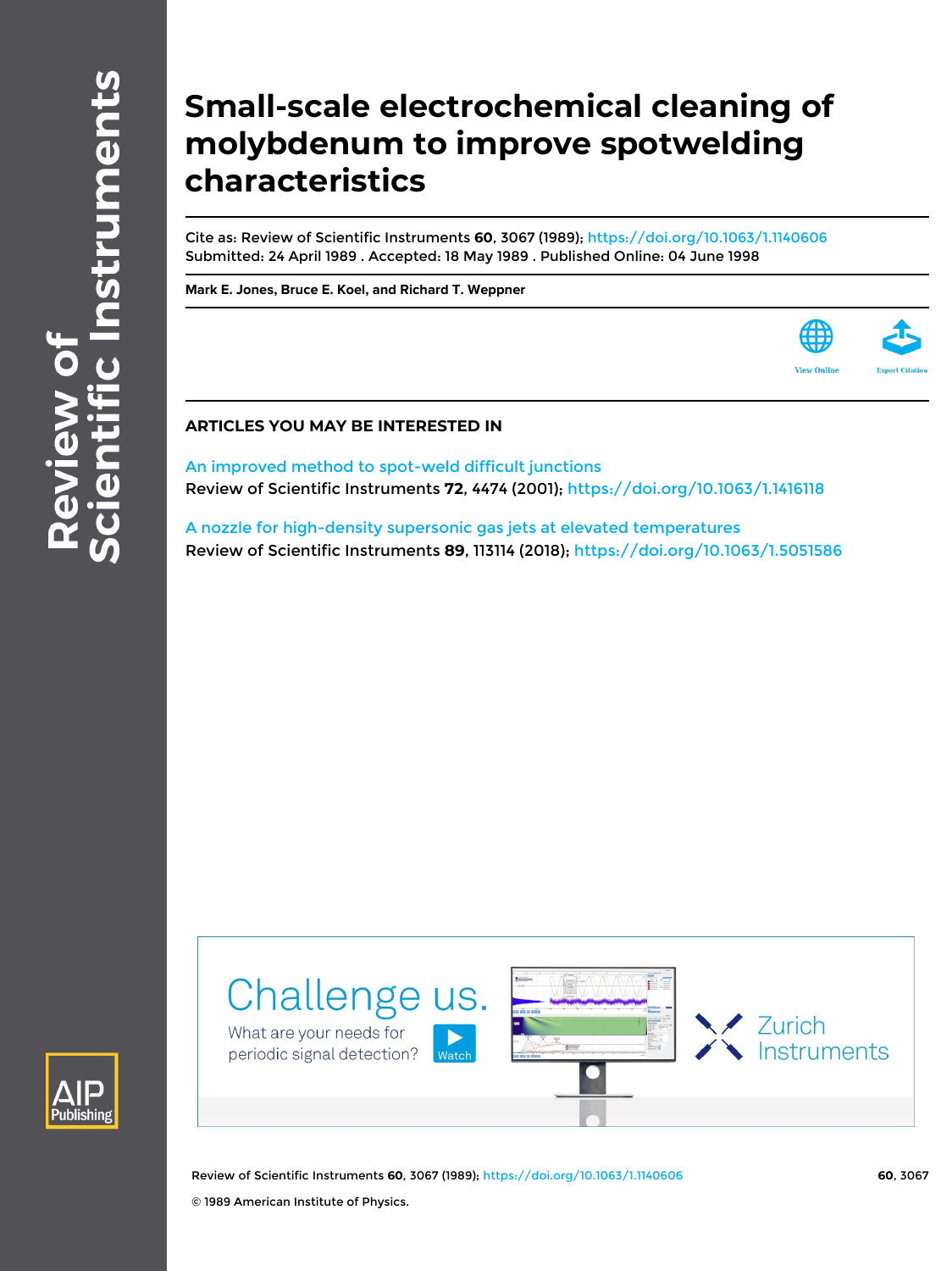## **Small-scale electrochemical cleaning of molybdenum to improve spotwelding characteristics**

Cite as: Review of Scientific Instruments **60**, 3067 (1989);<https://doi.org/10.1063/1.1140606> Submitted: 24 April 1989 . Accepted: 18 May 1989 . Published Online: 04 June 1998

**[Mark E. Jones,](https://aip.scitation.org/author/Jones%2C+Mark+E) [Bruce E. Koel,](https://aip.scitation.org/author/Koel%2C+Bruce+E) and [Richard T. Weppner](https://aip.scitation.org/author/Weppner%2C+Richard+T)**



## **ARTICLES YOU MAY BE INTERESTED IN**

[An improved method to spot-weld difficult junctions](https://aip.scitation.org/doi/10.1063/1.1416118) Review of Scientific Instruments **72**, 4474 (2001); <https://doi.org/10.1063/1.1416118>

[A nozzle for high-density supersonic gas jets at elevated temperatures](https://aip.scitation.org/doi/10.1063/1.5051586) Review of Scientific Instruments **89**, 113114 (2018); <https://doi.org/10.1063/1.5051586>



Review of Scientific Instruments **60**, 3067 (1989);<https://doi.org/10.1063/1.1140606> **60**, 3067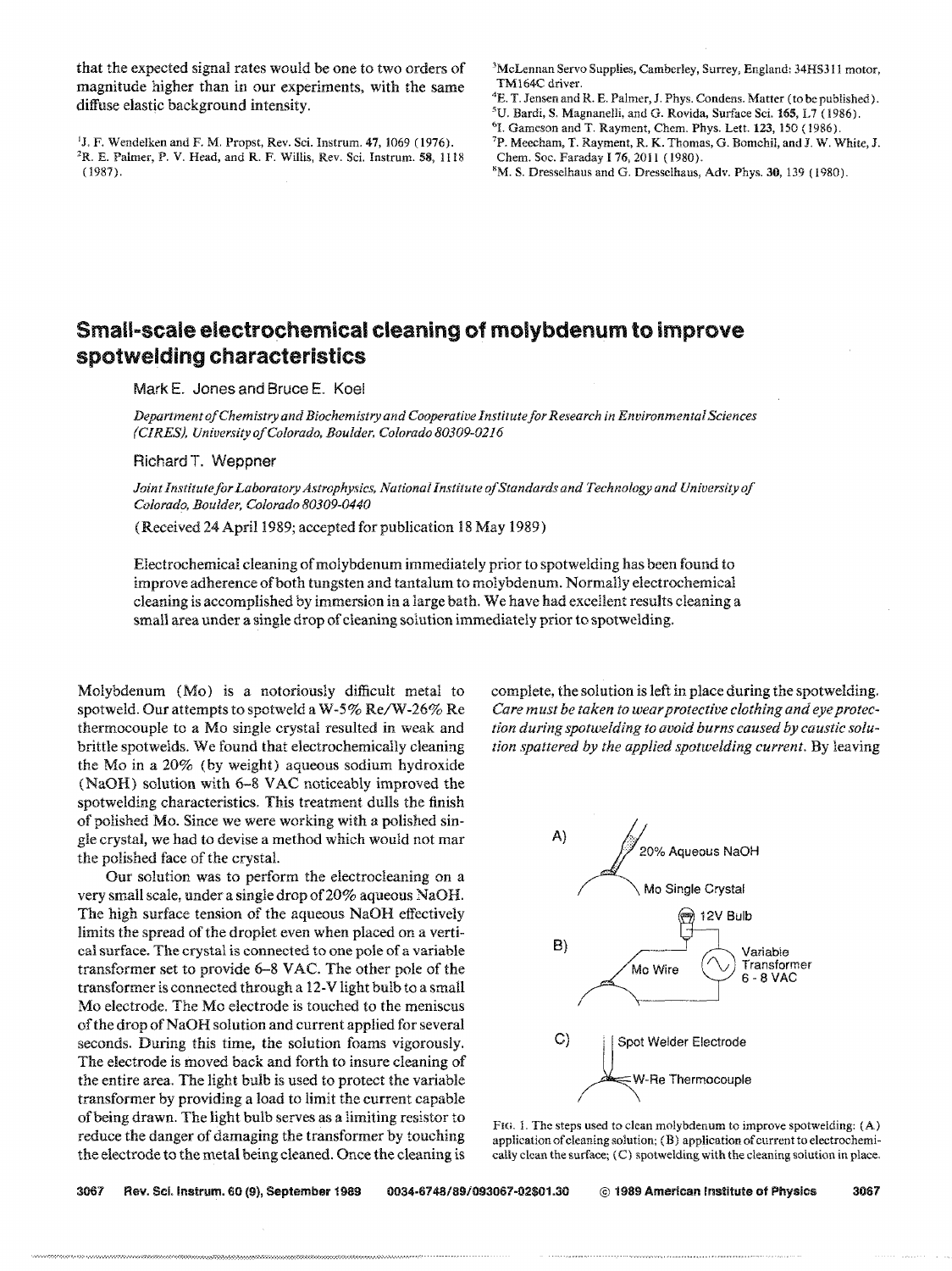that the expected signal rates would be one to two orders of magnitude higher than in our experiments, with the same diffuse elastic background intensity.

<sup>1</sup>J, F. Wendelken and F. M. Propst, Rev. Sci. Instrum.  $47$ , 1069 (1976).

<sup>3</sup>McLennan Servo Supplies, Camberley, Surrey, England: 34HS311 motor, TMl64C driver.

- <sup>5</sup>U. Bardi, S. Magnanelli, and G. Rovida, Surface Sci. 165, L7 (1986).
- <sup>6</sup>I. Gameson and T. Rayment, Chem. Phys. Lett. 123, 150 (1986).
- 7p. Meecham, T. Rayment, R. K. Thomas, G. Bomchil, and J. W. White, J. Chern. Soc. Faraday I 76, 2011 (1980).

## **Small .. scale electrochemical cleaning of molybdenum to improve spolwelding characteristics**

Mark E. Jones and Bruce E, Koel

*Department of Chemistry and Biochemistry and Cooperative Institute for Research in Environmental Sciences (CIRES), University of Colorado, Boulder. Colorado 80309-0216* 

Richard T. Weppner

(1987).

*Joint Institutefor Laboratory Astrophysics, National Institute of Standards and Technology and University of Colorado, Boulder, Colorado 80309-0440* 

(Received 24 April 1989; accepted for publication 18 May 1989)

Electrochemical cleaning of molybdenum immediately prior to spotwelding has been found to improve adherence of both tungsten and tantalum to molybdenum. Normally electrochemical cleaning is accomplished by immersion in a large bath. We have had excellent results cleaning a small area under a single drop of cleaning solution immediately prior to spotwelding.

Molybdenum (Mo) is a notoriously difficult metal to spotweld. Our attempts to spotweld a W-5% Re/W-26% Re thermocouple to a Mo single crystal resulted in weak and brittle spotwelds. We found that electrochemically cleaning the Mo in a 20% (by weight) aqueous sodium hydroxide (NaOH) solution with 6-8 VAC noticeably improved the spotwelding characteristics. This treatment dulls the finish of polished Mo. Since we were working with a polished single crystal, we had to devise a method which would not mar the polished face of the crystal.

Our solution was to perform the electrocleaning on a very small scale, under a single drop of20% aqueous NaOH. The high surface tension of the aqueous NaOH effectively limits the spread of the droplet even when placed on a vertical surface. The crystal is connected to one pole of a variable transformer set to provide 6-8 VAC. The other pole of the transformer is connected through a 12-V light bulb to a small Mo electrode. The Mo electrode is touched to the meniscus of the drop of NaOH solution and current applied for several seconds. During this time, the solution foams vigorously. The electrode is moved back and forth to insure cleaning of the entire area. The light bulb is used to protect the variable transformer by providing a load to limit the current capable of being drawn. The light bulb serves as a limiting resistor to reduce the danger of damaging the transformer by touching the electrode to the metal being cleaned. Once the cleaning is

complete, the solution is left in place during the spotwelding. *Care must be taken to wear protective clothing and eye protection during spotwelding to avoid burns caused by caustic solution spattered by the applied spotwelding current.* By leaving



FIG. 1. The steps used to clean molybdenum to improve spotwelding: (A) application of cleaning solution; (B) application of current to electrochemically clean the surface; (C) spotwelding with the cleaning solution in place.

3067 Rev. Sci.lnstrum. 60 (9), September 1989 *0034·6748/89/093067-02\$01.30* @ 1989 American Institute of Physics 3067

.•••••••••••• -.; ••• ; ••• ; ••••• .-.; ••••••••••••••••••••• ' •••••••••••••• '7.~ •• ;"' •••••••• ' ••• :.:O:.:.:.:.:.:-;.: ••• ; ••• ~ ••••••••••• ;· ••••••• ·.·.v.>.·.·.·.~.~.:.:.:.:.:'7.:;:-.:.:.~.:.:.:.:.:.:.:.:.:o:-:.z.:.:o:.:.:.:" .• : •. ' .•. •.•.•.•.•.• .*•.•.•.•.* r> •• -,.

<sup>&</sup>lt;sup>4</sup>E. T. Jensen and R. E. Palmer, J. Phys. Condens. Matter (to be published).

<sup>2</sup>R. E. Palmer, P. V. Head, and R. F. Willis, Rev. Sci. lnstrum. 58, 1118 8M. S. Dresselhaus and G. Dressclhaus, Adv. Phys. 30, 139 (1980).